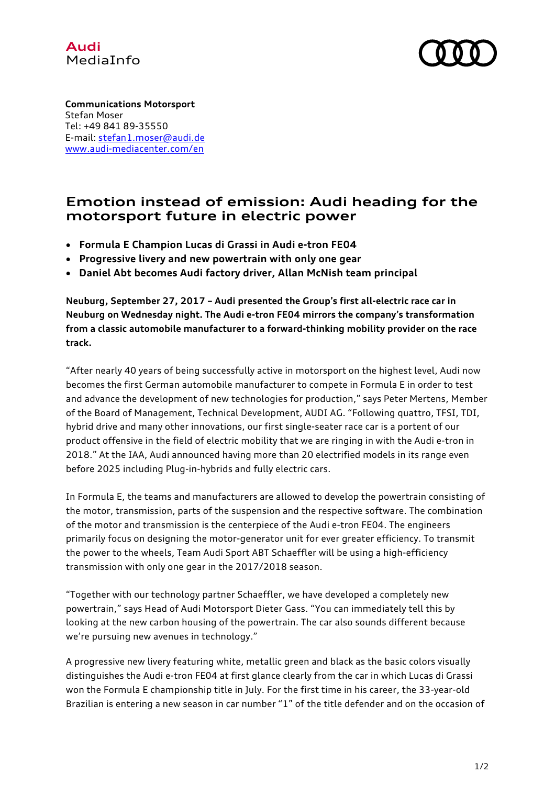



Stefan Moser **Communications Motorsport** Tel: +49 841 89-35550 E-mail: stefan1.moser@audi.de www.audi-mediacenter.com/en

## **Emotion instead of emission: Audi heading for the motorsport future in electric power**

- **Formula E Champion Lucas di Grassi in Audi e-tron FE04**
- **Progressive livery and new powertrain with only one gear**
- **Daniel Abt becomes Audi factory driver, Allan McNish team principal**

**Neuburg, September 27, 2017 – Audi presented the Group's first all-electric race car in Neuburg on Wednesday night. The Audi e-tron FE04 mirrors the company's transformation from a classic automobile manufacturer to a forward-thinking mobility provider on the race track.** 

"After nearly 40 years of being successfully active in motorsport on the highest level, Audi now becomes the first German automobile manufacturer to compete in Formula E in order to test and advance the development of new technologies for production," says Peter Mertens, Member of the Board of Management, Technical Development, AUDI AG. "Following quattro, TFSI, TDI, hybrid drive and many other innovations, our first single-seater race car is a portent of our product offensive in the field of electric mobility that we are ringing in with the Audi e-tron in 2018." At the IAA, Audi announced having more than 20 electrified models in its range even before 2025 including Plug-in-hybrids and fully electric cars.

In Formula E, the teams and manufacturers are allowed to develop the powertrain consisting of the motor, transmission, parts of the suspension and the respective software. The combination of the motor and transmission is the centerpiece of the Audi e-tron FE04. The engineers primarily focus on designing the motor-generator unit for ever greater efficiency. To transmit the power to the wheels, Team Audi Sport ABT Schaeffler will be using a high-efficiency transmission with only one gear in the 2017/2018 season.

"Together with our technology partner Schaeffler, we have developed a completely new powertrain," says Head of Audi Motorsport Dieter Gass. "You can immediately tell this by looking at the new carbon housing of the powertrain. The car also sounds different because we're pursuing new avenues in technology."

A progressive new livery featuring white, metallic green and black as the basic colors visually distinguishes the Audi e-tron FE04 at first glance clearly from the car in which Lucas di Grassi won the Formula E championship title in July. For the first time in his career, the 33-year-old Brazilian is entering a new season in car number "1" of the title defender and on the occasion of